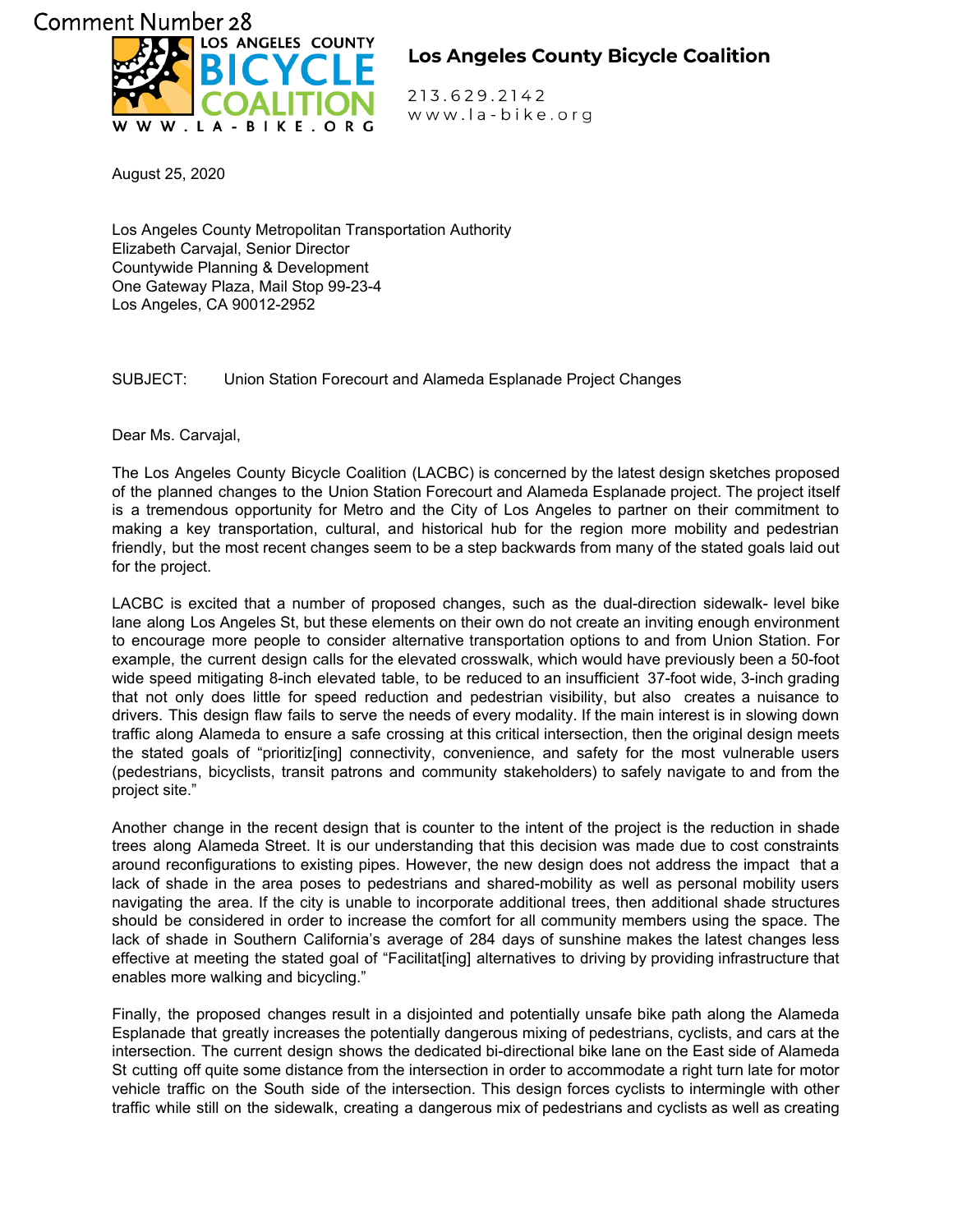## Comment Number 28<br>Comment Number 28 . LA-BIKE. ORG

## **Los Angeles County Bicycle Coalition**

213.629.2142 www.la-bike.org

August 25, 2020

Los Angeles County Metropolitan Transportation Authority Elizabeth Carvajal, Senior Director Countywide Planning & Development One Gateway Plaza, Mail Stop 99-23-4 Los Angeles, CA 90012-2952

SUBJECT: Union Station Forecourt and Alameda Esplanade Project Changes

Dear Ms. Carvajal,

The Los Angeles County Bicycle Coalition (LACBC) is concerned by the latest design sketches proposed of the planned changes to the Union Station Forecourt and Alameda Esplanade project. The project itself is a tremendous opportunity for Metro and the City of Los Angeles to partner on their commitment to making a key transportation, cultural, and historical hub for the region more mobility and pedestrian friendly, but the most recent changes seem to be a step backwards from many of the stated goals laid out for the project.

LACBC is excited that a number of proposed changes, such as the dual-direction sidewalk- level bike lane along Los Angeles St, but these elements on their own do not create an inviting enough environment to encourage more people to consider alternative transportation options to and from Union Station. For example, the current design calls for the elevated crosswalk, which would have previously been a 50-foot wide speed mitigating 8-inch elevated table, to be reduced to an insufficient 37-foot wide, 3-inch grading that not only does little for speed reduction and pedestrian visibility, but also creates a nuisance to drivers. This design flaw fails to serve the needs of every modality. If the main interest is in slowing down traffic along Alameda to ensure a safe crossing at this critical intersection, then the original design meets the stated goals of "prioritiz[ing] connectivity, convenience, and safety for the most vulnerable users (pedestrians, bicyclists, transit patrons and community stakeholders) to safely navigate to and from the project site."

Another change in the recent design that is counter to the intent of the project is the reduction in shade trees along Alameda Street. It is our understanding that this decision was made due to cost constraints around reconfigurations to existing pipes. However, the new design does not address the impact that a lack of shade in the area poses to pedestrians and shared-mobility as well as personal mobility users navigating the area. If the city is unable to incorporate additional trees, then additional shade structures should be considered in order to increase the comfort for all community members using the space. The lack of shade in Southern California's average of 284 days of sunshine makes the latest changes less effective at meeting the stated goal of "Facilitat[ing] alternatives to driving by providing infrastructure that enables more walking and bicycling."

Finally, the proposed changes result in a disjointed and potentially unsafe bike path along the Alameda Esplanade that greatly increases the potentially dangerous mixing of pedestrians, cyclists, and cars at the intersection. The current design shows the dedicated bi-directional bike lane on the East side of Alameda St cutting off quite some distance from the intersection in order to accommodate a right turn late for motor vehicle traffic on the South side of the intersection. This design forces cyclists to intermingle with other traffic while still on the sidewalk, creating a dangerous mix of pedestrians and cyclists as well as creating